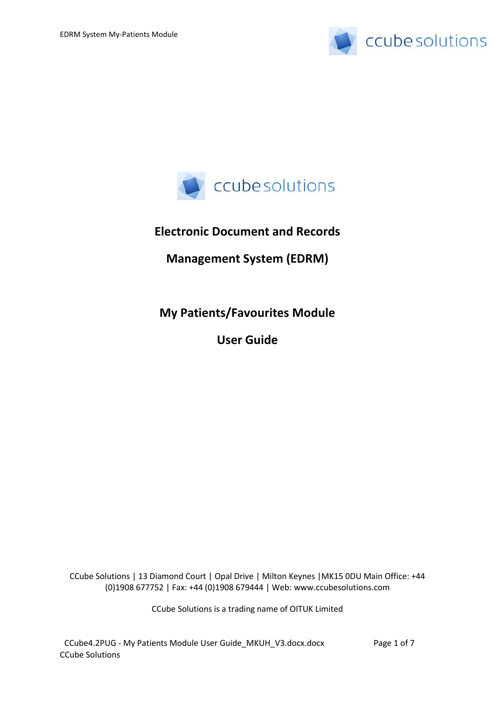



# **Electronic Document and Records**

## **Management System (EDRM)**

**My Patients/Favourites Module**

**User Guide**

CCube Solutions | 13 Diamond Court | Opal Drive | Milton Keynes |MK15 0DU Main Office: +44 (0)1908 677752 | Fax: +44 (0)1908 679444 | Web: www.ccubesolutions.com

CCube Solutions is a trading name of OITUK Limited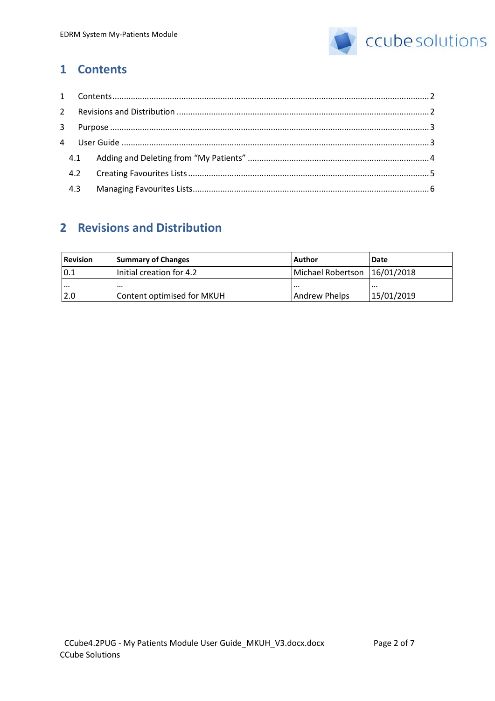

## <span id="page-1-0"></span>**1 Contents**

| 4.2 |  |
|-----|--|
| 4.3 |  |

# <span id="page-1-1"></span>**2 Revisions and Distribution**

| <b>Revision</b> | <b>Summary of Changes</b>  | l Author          | <b>Date</b> |
|-----------------|----------------------------|-------------------|-------------|
| 0.1             | Initial creation for 4.2   | Michael Robertson | 16/01/2018  |
| $\cdots$        | $\cdots$                   | $\cdots$          | .           |
| 2.0             | Content optimised for MKUH | Andrew Phelps     | 15/01/2019  |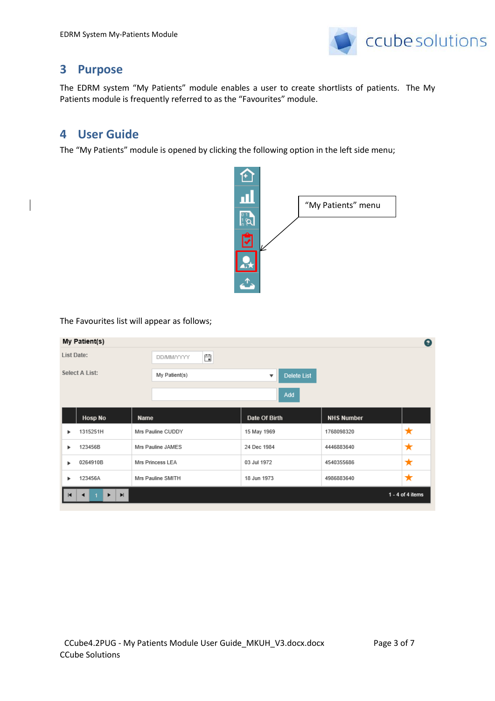

## <span id="page-2-0"></span>**3 Purpose**

The EDRM system "My Patients" module enables a user to create shortlists of patients. The My Patients module is frequently referred to as the "Favourites" module.

## <span id="page-2-1"></span>**4 User Guide**

The "My Patients" module is opened by clicking the following option in the left side menu;



The Favourites list will appear as follows;

| My Patient(s)                    |                        |                                          |                   | $\bullet$          |
|----------------------------------|------------------------|------------------------------------------|-------------------|--------------------|
| <b>List Date:</b>                | Ë<br><b>DD/MM/YYYY</b> |                                          |                   |                    |
| Select A List:                   | My Patient(s)          | Delete List<br>$\boldsymbol{\mathrm{v}}$ |                   |                    |
|                                  |                        | Add                                      |                   |                    |
| <b>Hosp No</b>                   | Name                   | Date Of Birth                            | <b>NHS Number</b> |                    |
| 1315251H<br>٠                    | Mrs Pauline CUDDY      | 15 May 1969                              | 1768098320        | ★                  |
| 123456B<br>٠                     | Mrs Pauline JAMES      | 24 Dec 1984                              | 4446883640        | ★                  |
| 0264910B<br>٠                    | Mrs Princess LEA       | 03 Jul 1972                              | 4540355686        | ★                  |
| 123456A<br>٠                     | Mrs Pauline SMITH      | 18 Jun 1973                              | 4986883640        | ★                  |
| $\blacksquare$<br>$\blacksquare$ |                        |                                          |                   | $1 - 4$ of 4 items |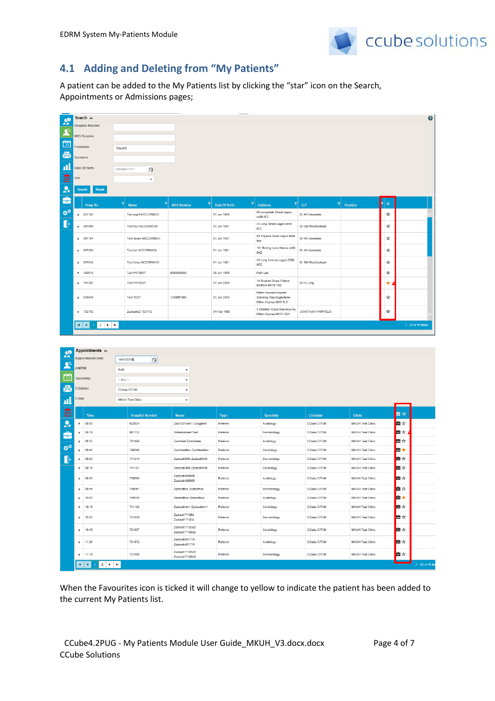

### <span id="page-3-0"></span>**4.1 Adding and Deleting from "My Patients"**

A patient can be added to the My Patients list by clicking the "star" icon on the Search, Appointments or Admissions pages;

| $\mathbf{R}^{\bullet}$ |                       | Search &                                  |                         |                           |                           |                     |                                                                            |                    |                  |   | $\bullet$          |
|------------------------|-----------------------|-------------------------------------------|-------------------------|---------------------------|---------------------------|---------------------|----------------------------------------------------------------------------|--------------------|------------------|---|--------------------|
| $\blacktriangle$       |                       | <b>Hospital Number</b>                    |                         |                           |                           |                     |                                                                            |                    |                  |   |                    |
| $\frac{1}{31}$         |                       | <b>NHS Number</b>                         |                         |                           |                           |                     |                                                                            |                    |                  |   |                    |
|                        | Forename              |                                           | %test%                  |                           |                           |                     |                                                                            |                    |                  |   |                    |
| 尽                      | Surname               |                                           |                         |                           |                           |                     |                                                                            |                    |                  |   |                    |
| ш                      |                       | Date Of Birth                             | <b>DD/MM/YYYY</b>       | 白                         |                           |                     |                                                                            |                    |                  |   |                    |
| 囪                      | Sex                   |                                           |                         | $\boldsymbol{\mathrm{v}}$ |                           |                     |                                                                            |                    |                  |   |                    |
| $\mathbf{A}$           | Search                | Reset                                     |                         |                           |                           |                     |                                                                            |                    |                  |   |                    |
| â                      |                       | <b>Hosp No</b>                            | $\vert \bm{\tau} \vert$ | $\mathbf T$<br>Name       | <b>NHS Number</b>         | T)<br>Date Of Birth | 회<br>Address                                                               | T<br>G.P           | Practice         | ☆ |                    |
| ₩                      | ٠                     | 857195                                    |                         | Test eight MCCORMICK      |                           | 01 Jan 1980         | 56 Longsdale Street Lagos<br>zz99 5FZ                                      | Dr AK Kerawalla    |                  | ☆ |                    |
| I                      |                       | ▶ 857069                                  |                         | Test four MCCORMICK       |                           | 01 Jan 1981         | 33 Long Street Lagos zz99<br>5FZ                                           | Dr SM Weatherhead  |                  | ☆ |                    |
|                        |                       | $\blacktriangleright$ 857154              |                         | Test seven MCCORMICK      |                           | 01 Jan 1981         | 55 Trippers Road Lagos zz99<br>5ez                                         | Dr AK Kerawalla    |                  | ☆ |                    |
|                        |                       | ▶ 857290                                  |                         | Test ten MCCORMICK        |                           | 01 Jan 1981         | 101 Boxing Lane Herare zz99<br>5HZ                                         | Dr AK Kerawalla    |                  | ☆ |                    |
|                        | $\blacktriangleright$ | 857048                                    |                         | Test three MCCORMICK      |                           | 01 Jan 1981         | 33 Long Avenue Lagos ZZ99<br>5FZ                                           | Dr SM Weatherhead  |                  | ☆ |                    |
|                        |                       | $+ 493518$                                |                         | <b>Test PATIENT</b>       | 0000000000                | 06 Jun 1966         | Path Lab                                                                   |                    |                  | ☆ |                    |
|                        | ٠                     | 751352                                    |                         | <b>Test PATIENT</b>       |                           | 01 Jan 2005         | 14 Bluebell Close Flitwick<br>Bedford MK45 1NS                             | Dr HL Ling         |                  | * |                    |
|                        |                       | ▶ 815545                                  |                         | <b>Test TEST</b>          | 1234567890                | 01 Jan 2000         | Milton Keynes Hospital<br>Standing Way Eaglestone<br>Milton Keynes MKB 5LD |                    |                  | ☆ |                    |
|                        |                       | $-732762$                                 |                         | Zzztesttu2 TEST12         |                           | 04 Feb 1962         | 3 Charlton Close Swanbourne<br>Milton Keynes MK17 0SX                      | JONATHAN FAIRFIELD |                  | ☆ |                    |
|                        |                       | $2 \times M$<br> A <br>$\overline{1}$     |                         |                           |                           |                     |                                                                            |                    |                  |   | 1 - 20 of 40 items |
|                        |                       |                                           |                         |                           |                           |                     |                                                                            |                    |                  |   |                    |
|                        |                       |                                           |                         |                           |                           |                     |                                                                            |                    |                  |   |                    |
| $\mathbf{a}$           |                       | Appointments A<br><b>Appointment Date</b> | 14/01/2019              | 自                         |                           |                     |                                                                            |                    |                  |   |                    |
| $\mathbf{R}^{\alpha}$  | AM/PM                 |                                           | Both                    |                           | $\overline{\mathbf v}$    |                     |                                                                            |                    |                  |   |                    |
| $\frac{1}{31}$         |                       | Speciality                                | $-$ ALL $-$             |                           | $\blacktriangledown$      |                     |                                                                            |                    |                  |   |                    |
| 尽                      |                       | Clinician                                 |                         | CCube OITUK               | $\overline{\mathbf v}$    |                     |                                                                            |                    |                  |   |                    |
| 山                      | Clinic                |                                           |                         | MKUH Test Clinic          | $\boldsymbol{\mathrm{v}}$ |                     |                                                                            |                    |                  |   |                    |
|                        |                       |                                           |                         |                           |                           |                     |                                                                            |                    |                  |   |                    |
| 囪                      |                       | Time                                      |                         | <b>Hospital Number</b>    | <b>Name</b>               | <b>Type</b>         | <b>Specialty</b>                                                           | Clinician          | <b>Clinic</b>    |   | ■☆                 |
| $\mathbf{A}$           | Þ                     | 08:00                                     |                         | 623934                    | Zzz703Test11 Craigtest1   | Referral            | Audiology                                                                  | CCube OITUK        | MKUH Test Clinic |   | ≞☆                 |
| د                      | $\blacktriangleright$ | 08:15                                     |                         | 661732                    | Xxtestpatient Test        | Referral            | Dermatology                                                                | CCube OITUK        | MKUH Test Clinic |   | ≞☆⊿                |

| $\mathbf{A}$   | ь                     | 08:00                                                                         | 623934 | Zzz703Test11 Craigtest1          | Referral | Audiology   | CCube OITUK | <b>MKUH Test Clinic</b> | ■☆          |                  |
|----------------|-----------------------|-------------------------------------------------------------------------------|--------|----------------------------------|----------|-------------|-------------|-------------------------|-------------|------------------|
| ÷              | ٠                     | 08:15                                                                         | 661732 | Xxtestpatient Test               | Referral | Dermatology | CCube OITUK | <b>MKUH Test Clinic</b> | <b>A</b> ☆▲ |                  |
|                | ٠                     | 08:30                                                                         | 761490 | Zzzbttest Zzzbttesta             | Referral | Audiology   | CCube OITUK | <b>MKUH Test Clinic</b> | ■☆          |                  |
| $\mathbf{x}^*$ | $\blacktriangleright$ | 08:45                                                                         | 748046 | Zzzbttesttwo Zzzbttesttwo        | Referral | Cardiology  | CCube OITUK | MKUH Test Clinic        | 自大          |                  |
| Æ              | н                     | 09:00                                                                         | 741215 | Zzztest0506 Zzztest0506          | Referral | Dermatology | CCube OITUK | <b>MKUH Test Clinic</b> | ■☆          |                  |
|                | $\blacktriangleright$ | 09:15                                                                         | 741191 | Zzztest0406 Zzztest0406          | Referral | Cardiology  | CCube OITUK | <b>MKUH Test Clinic</b> | ■☆          |                  |
|                | ٠                     | 09:30                                                                         | 739588 | Zzztestrd80905<br>Zzztestrd80905 | Referral | Audiology   | CCube OITUK | <b>MKUH Test Clinic</b> | ■☆          |                  |
|                | ٠                     | 09:45                                                                         | 748061 | Zzztestfive Zzztestfive          | Referral | Dermatology | CCube OITUK | MKUH Test Clinic        | ■☆          |                  |
|                | $\blacktriangleright$ | 10:00                                                                         | 748048 | Zzztestfour Zzztestfour          | Referral | Audiology   | CCube OITUK | <b>MKUH Test Clinic</b> | ■★          |                  |
|                | $\blacktriangleright$ | 10:15                                                                         | 741192 | Zzztestmm1 Zzztestmm1            | Referral | Cardiology  | CCube OITUK | <b>MKUH Test Clinic</b> | ■☆          |                  |
|                | ٠                     | 10:30                                                                         | 721856 | Zzztest1710Ed<br>Zzztest1710Ed   | Referral | Dermatology | CCube OITUK | <b>MKUH Test Clinic</b> | ■☆          |                  |
|                | ٠                     | 10:45                                                                         | 721857 | Zzztest1710Ed2<br>Zzztest1710Ed2 | Referral | Cardiology  | CCube OITUK | <b>MKUH Test Clinic</b> | ■☆          |                  |
|                | ٠                     | 11:00                                                                         | 721872 | Zzztestrd81710<br>Zzztestrd81710 | Referral | Audiology   | CCube OITUK | <b>MKUH Test Clinic</b> | ■☆          |                  |
|                | ٠                     | 11:15                                                                         | 721858 | Zzztest1710Ed3<br>Zzztest1710Ed3 | Referral | Dermatology | CCube OITUK | <b>MKUH Test Clinic</b> | ■☆          |                  |
|                | H                     | $\blacktriangleright$<br>$\overline{\mathbf{c}}$<br>٠<br>$\blacktriangleleft$ |        |                                  |          |             |             |                         |             | 1 - 20 of 40 ite |

When the Favourites icon is ticked it will change to yellow to indicate the patient has been added to the current My Patients list.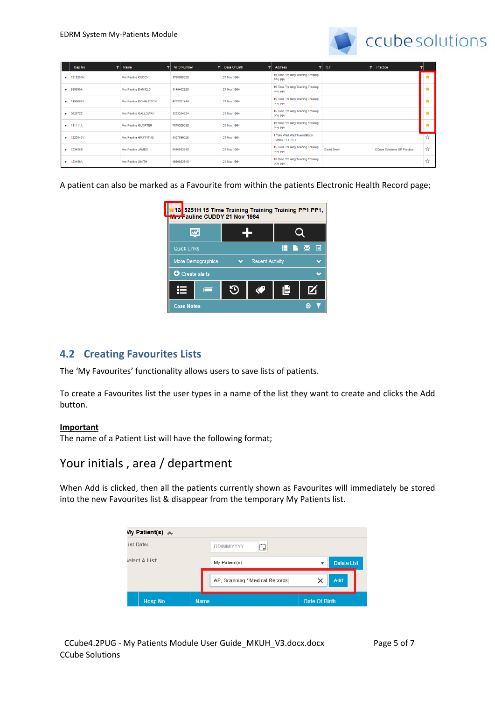

|    | <b>Hosp No</b><br>v. | Name<br>▾             | <b>NHS Number</b><br>▼ | Date Of Birth<br>▼ | <b>Address</b><br>▼                           | G.P<br>v.   | Practice                           | ▼             |
|----|----------------------|-----------------------|------------------------|--------------------|-----------------------------------------------|-------------|------------------------------------|---------------|
| ٠  | 1315251H             | Mrs Pauline CUDDY     | 1768098320             | 21 Nov 1964        | 15 Time Training Training Training<br>PP1 PP1 |             |                                    | $\star$       |
| ъ. | 999999A              | Mrs Pauline DANIELS   | 1144462929             | 21 Nov 1964        | 15 Time Training Training Training<br>PP1 PP1 |             |                                    | ÷             |
|    | 1190867X             | Mrs Pauline DONALDSON | 4762521744             | 21 Nov 1964        | 15 Time Training Training Training<br>PP1 PP1 |             |                                    |               |
|    | 0629722              | Mrs Pauline GALLOWAY  | 1223334324             | 21 Nov 1964        | 15 Time Training Training Training<br>PP1 PP1 |             |                                    | ÷             |
| ъ. | 111111A              | Mrs Pauline GLORTER   | 7879209280             | 21 Nov 1964        | 15 Time Training Training Training<br>PP1 PP1 |             |                                    |               |
|    | 1220340V             | Mrs Pauline GRIFFITHS | 4407899026             | 21 Nov 1964        | 1 Toto Wad Wad Townsfilldon<br>Exexex TT1 7TH |             |                                    | $\frac{1}{2}$ |
|    | 123456B              | Mrs Pauline JAMES     | 4446883640             | 21 Nov 1964        | 15 Time Training Training Training<br>PP1 PP1 | David Smith | <b>CCube Solutions GP Practice</b> | ☆             |
|    | 123456A              | Mrs Pauline SMITH     | 4986883640             | 21 Nov 1964        | 15 Time Training Training Training<br>PP1 PP1 |             |                                    | ☆             |

A patient can also be marked as a Favourite from within the patients Electronic Health Record page;



#### <span id="page-4-0"></span>**4.2 Creating Favourites Lists**

The 'My Favourites' functionality allows users to save lists of patients.

To create a Favourites list the user types in a name of the list they want to create and clicks the Add button.

#### **Important**

The name of a Patient List will have the following format;

### Your initials, area / department

When Add is clicked, then all the patients currently shown as Favourites will immediately be stored into the new Favourites list & disappear from the temporary My Patients list.

| My Patient(s) A |                                |                      |
|-----------------|--------------------------------|----------------------|
| ist Date:       | Ö<br><b>DD/MM/YYYY</b>         |                      |
| ielect A List:  | My Patient(s)                  | <b>Delete List</b>   |
|                 | AP, Scanning / Medical Records | Add<br>×             |
| <b>Hosp No</b>  | <b>Name</b>                    | <b>Date Of Birth</b> |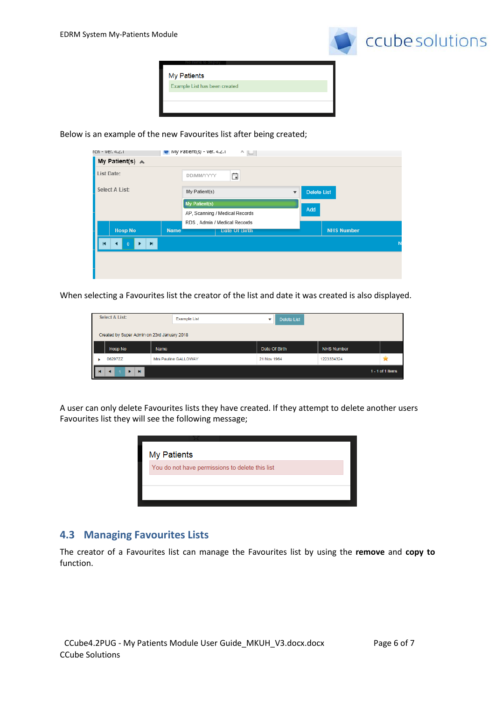

| My Patients                   |  |
|-------------------------------|--|
| Example List has been created |  |
|                               |  |

Below is an example of the new Favourites list after being created;

| rcn - ver. 4.2.1           |             | <b>Mation</b> My Patient(s) - ver. 4.2.1<br>^ [다 |                           |                    |
|----------------------------|-------------|--------------------------------------------------|---------------------------|--------------------|
| My Patient(s) A            |             |                                                  |                           |                    |
| <b>List Date:</b>          |             | 曲<br><b>DD/MM/YYYY</b>                           |                           |                    |
| Select A List:             |             | My Patient(s)                                    | $\boldsymbol{\mathrm{v}}$ | <b>Delete List</b> |
|                            |             | My Patient(s)                                    |                           |                    |
|                            |             | AP, Scanning / Medical Records                   |                           | Add                |
|                            |             | RDS, Admin / Medical Records                     |                           |                    |
| <b>Hosp No</b>             | <b>Name</b> | <b>Date Of Birth</b>                             |                           | <b>NHS Number</b>  |
| $\blacksquare$<br>$\Omega$ |             |                                                  |                           |                    |
|                            |             |                                                  |                           |                    |
|                            |             |                                                  |                           |                    |
|                            |             |                                                  |                           |                    |

When selecting a Favourites list the creator of the list and date it was created is also displayed.

| Select A List: |                                             | <b>Example List</b>  | Delete List<br>v |                   |                    |  |  |  |  |  |
|----------------|---------------------------------------------|----------------------|------------------|-------------------|--------------------|--|--|--|--|--|
|                | Created by Super Admin on 23rd January 2018 |                      |                  |                   |                    |  |  |  |  |  |
|                | <b>Hosp No</b>                              | Name                 | Date Of Birth    | <b>NHS Number</b> |                    |  |  |  |  |  |
|                | 06297ZZ                                     | Mrs Pauline GALLOWAY | 21 Nov 1964      | 1223334324        |                    |  |  |  |  |  |
| I<br>к         | н                                           |                      |                  |                   | $1 - 1$ of 1 items |  |  |  |  |  |

A user can only delete Favourites lists they have created. If they attempt to delete another users Favourites list they will see the following message;

| My Patients                                     |  |
|-------------------------------------------------|--|
| You do not have permissions to delete this list |  |
|                                                 |  |
|                                                 |  |
|                                                 |  |

#### <span id="page-5-0"></span>**4.3 Managing Favourites Lists**

The creator of a Favourites list can manage the Favourites list by using the **remove** and **copy to** function.